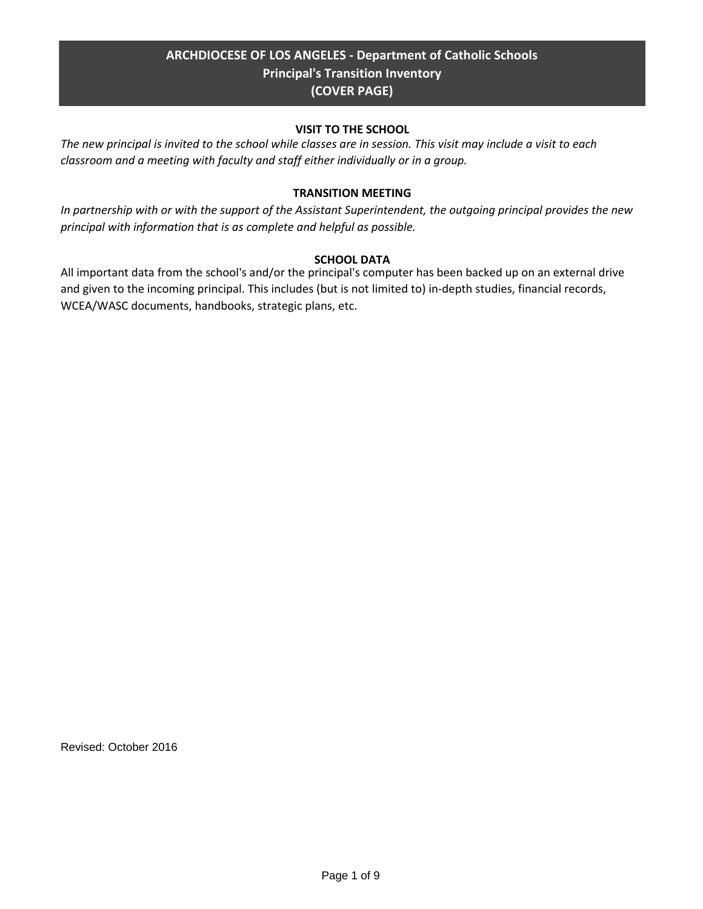# **ARCHDIOCESE OF LOS ANGELES - Department of Catholic Schools Principal's Transition Inventory (COVER PAGE)**

## **VISIT TO THE SCHOOL**

*The new principal is invited to the school while classes are in session. This visit may include a visit to each classroom and a meeting with faculty and staff either individually or in a group.*

## **TRANSITION MEETING**

*In partnership with or with the support of the Assistant Superintendent, the outgoing principal provides the new principal with information that is as complete and helpful as possible.*

## **SCHOOL DATA**

All important data from the school's and/or the principal's computer has been backed up on an external drive and given to the incoming principal. This includes (but is not limited to) in-depth studies, financial records, WCEA/WASC documents, handbooks, strategic plans, etc.

Revised: October 2016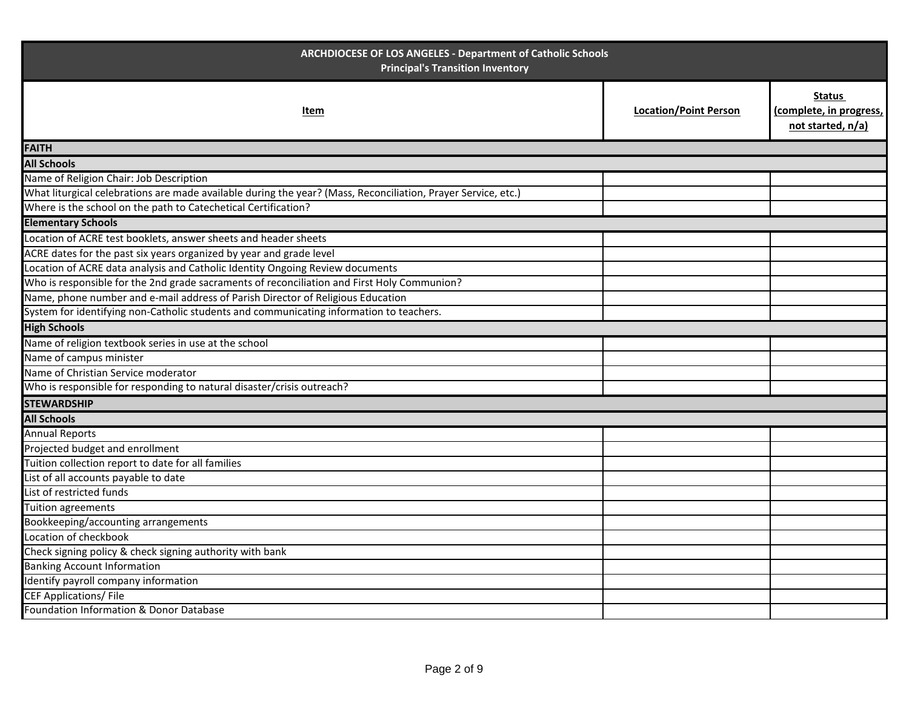| ARCHDIOCESE OF LOS ANGELES - Department of Catholic Schools<br><b>Principal's Transition Inventory</b>        |                              |                                                               |  |
|---------------------------------------------------------------------------------------------------------------|------------------------------|---------------------------------------------------------------|--|
| Item                                                                                                          | <b>Location/Point Person</b> | <b>Status</b><br>(complete, in progress,<br>not started, n/a) |  |
| <b>FAITH</b>                                                                                                  |                              |                                                               |  |
| <b>All Schools</b>                                                                                            |                              |                                                               |  |
| Name of Religion Chair: Job Description                                                                       |                              |                                                               |  |
| What liturgical celebrations are made available during the year? (Mass, Reconciliation, Prayer Service, etc.) |                              |                                                               |  |
| Where is the school on the path to Catechetical Certification?                                                |                              |                                                               |  |
| <b>Elementary Schools</b>                                                                                     |                              |                                                               |  |
| Location of ACRE test booklets, answer sheets and header sheets                                               |                              |                                                               |  |
| ACRE dates for the past six years organized by year and grade level                                           |                              |                                                               |  |
| Location of ACRE data analysis and Catholic Identity Ongoing Review documents                                 |                              |                                                               |  |
| Who is responsible for the 2nd grade sacraments of reconciliation and First Holy Communion?                   |                              |                                                               |  |
| Name, phone number and e-mail address of Parish Director of Religious Education                               |                              |                                                               |  |
| System for identifying non-Catholic students and communicating information to teachers.                       |                              |                                                               |  |
| <b>High Schools</b>                                                                                           |                              |                                                               |  |
| Name of religion textbook series in use at the school                                                         |                              |                                                               |  |
| Name of campus minister                                                                                       |                              |                                                               |  |
| Name of Christian Service moderator                                                                           |                              |                                                               |  |
| Who is responsible for responding to natural disaster/crisis outreach?                                        |                              |                                                               |  |
| <b>STEWARDSHIP</b>                                                                                            |                              |                                                               |  |
| <b>All Schools</b>                                                                                            |                              |                                                               |  |
| <b>Annual Reports</b>                                                                                         |                              |                                                               |  |
| Projected budget and enrollment                                                                               |                              |                                                               |  |
| Tuition collection report to date for all families                                                            |                              |                                                               |  |
| List of all accounts payable to date                                                                          |                              |                                                               |  |
| List of restricted funds                                                                                      |                              |                                                               |  |
| Tuition agreements                                                                                            |                              |                                                               |  |
| Bookkeeping/accounting arrangements                                                                           |                              |                                                               |  |
| Location of checkbook                                                                                         |                              |                                                               |  |
| Check signing policy & check signing authority with bank                                                      |                              |                                                               |  |
| <b>Banking Account Information</b>                                                                            |                              |                                                               |  |
| Identify payroll company information                                                                          |                              |                                                               |  |
| <b>CEF Applications/File</b>                                                                                  |                              |                                                               |  |
| Foundation Information & Donor Database                                                                       |                              |                                                               |  |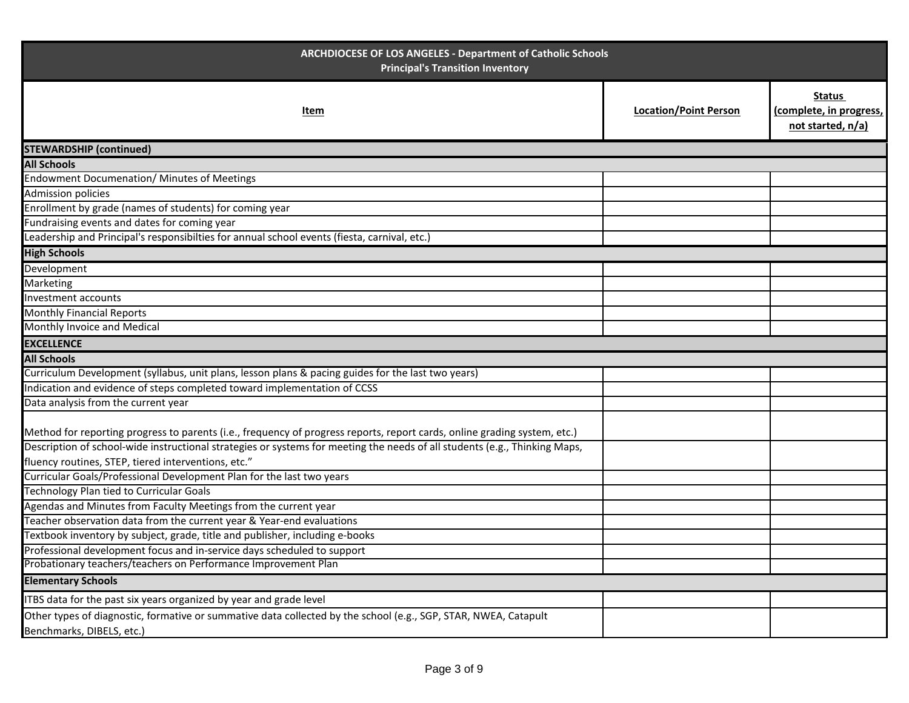| ARCHDIOCESE OF LOS ANGELES - Department of Catholic Schools<br><b>Principal's Transition Inventory</b>                                                                                                                                                  |                              |                                                               |  |
|---------------------------------------------------------------------------------------------------------------------------------------------------------------------------------------------------------------------------------------------------------|------------------------------|---------------------------------------------------------------|--|
| Item                                                                                                                                                                                                                                                    | <b>Location/Point Person</b> | <b>Status</b><br>(complete, in progress,<br>not started, n/a) |  |
| <b>STEWARDSHIP (continued)</b>                                                                                                                                                                                                                          |                              |                                                               |  |
| <b>All Schools</b>                                                                                                                                                                                                                                      |                              |                                                               |  |
| Endowment Documenation/ Minutes of Meetings                                                                                                                                                                                                             |                              |                                                               |  |
| <b>Admission policies</b>                                                                                                                                                                                                                               |                              |                                                               |  |
| Enrollment by grade (names of students) for coming year                                                                                                                                                                                                 |                              |                                                               |  |
| Fundraising events and dates for coming year                                                                                                                                                                                                            |                              |                                                               |  |
| Leadership and Principal's responsibilties for annual school events (fiesta, carnival, etc.)                                                                                                                                                            |                              |                                                               |  |
| <b>High Schools</b>                                                                                                                                                                                                                                     |                              |                                                               |  |
| Development                                                                                                                                                                                                                                             |                              |                                                               |  |
| Marketing                                                                                                                                                                                                                                               |                              |                                                               |  |
| Investment accounts                                                                                                                                                                                                                                     |                              |                                                               |  |
| <b>Monthly Financial Reports</b>                                                                                                                                                                                                                        |                              |                                                               |  |
| Monthly Invoice and Medical                                                                                                                                                                                                                             |                              |                                                               |  |
| <b>EXCELLENCE</b>                                                                                                                                                                                                                                       |                              |                                                               |  |
| <b>All Schools</b>                                                                                                                                                                                                                                      |                              |                                                               |  |
| Curriculum Development (syllabus, unit plans, lesson plans & pacing guides for the last two years)                                                                                                                                                      |                              |                                                               |  |
| Indication and evidence of steps completed toward implementation of CCSS                                                                                                                                                                                |                              |                                                               |  |
| Data analysis from the current year                                                                                                                                                                                                                     |                              |                                                               |  |
| Method for reporting progress to parents (i.e., frequency of progress reports, report cards, online grading system, etc.)<br>Description of school-wide instructional strategies or systems for meeting the needs of all students (e.g., Thinking Maps, |                              |                                                               |  |
| fluency routines, STEP, tiered interventions, etc."                                                                                                                                                                                                     |                              |                                                               |  |
| Curricular Goals/Professional Development Plan for the last two years                                                                                                                                                                                   |                              |                                                               |  |
| Technology Plan tied to Curricular Goals                                                                                                                                                                                                                |                              |                                                               |  |
| Agendas and Minutes from Faculty Meetings from the current year                                                                                                                                                                                         |                              |                                                               |  |
| Teacher observation data from the current year & Year-end evaluations                                                                                                                                                                                   |                              |                                                               |  |
| Textbook inventory by subject, grade, title and publisher, including e-books                                                                                                                                                                            |                              |                                                               |  |
| Professional development focus and in-service days scheduled to support                                                                                                                                                                                 |                              |                                                               |  |
| Probationary teachers/teachers on Performance Improvement Plan                                                                                                                                                                                          |                              |                                                               |  |
| <b>Elementary Schools</b>                                                                                                                                                                                                                               |                              |                                                               |  |
| ITBS data for the past six years organized by year and grade level                                                                                                                                                                                      |                              |                                                               |  |
| Other types of diagnostic, formative or summative data collected by the school (e.g., SGP, STAR, NWEA, Catapult<br>Benchmarks, DIBELS, etc.)                                                                                                            |                              |                                                               |  |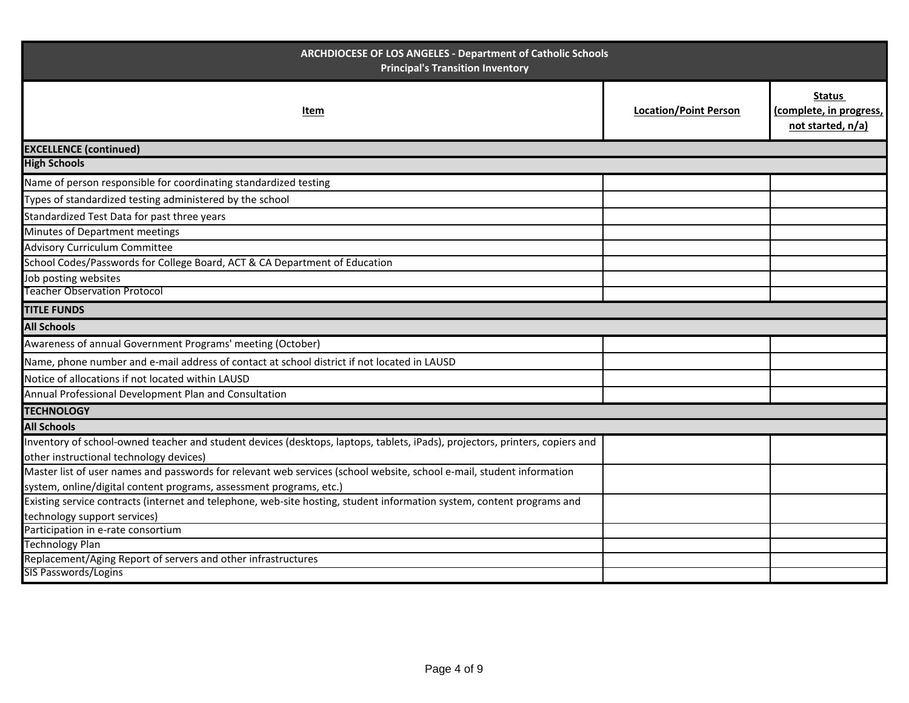| ARCHDIOCESE OF LOS ANGELES - Department of Catholic Schools<br><b>Principal's Transition Inventory</b>                       |                              |                                                               |  |  |
|------------------------------------------------------------------------------------------------------------------------------|------------------------------|---------------------------------------------------------------|--|--|
| Item                                                                                                                         | <b>Location/Point Person</b> | <b>Status</b><br>(complete, in progress,<br>not started, n/a) |  |  |
| <b>EXCELLENCE (continued)</b>                                                                                                |                              |                                                               |  |  |
| <b>High Schools</b>                                                                                                          |                              |                                                               |  |  |
| Name of person responsible for coordinating standardized testing                                                             |                              |                                                               |  |  |
| Types of standardized testing administered by the school                                                                     |                              |                                                               |  |  |
| Standardized Test Data for past three years                                                                                  |                              |                                                               |  |  |
| Minutes of Department meetings                                                                                               |                              |                                                               |  |  |
| <b>Advisory Curriculum Committee</b>                                                                                         |                              |                                                               |  |  |
| School Codes/Passwords for College Board, ACT & CA Department of Education                                                   |                              |                                                               |  |  |
| Job posting websites                                                                                                         |                              |                                                               |  |  |
| <b>Teacher Observation Protocol</b>                                                                                          |                              |                                                               |  |  |
| <b>TITLE FUNDS</b>                                                                                                           |                              |                                                               |  |  |
| <b>All Schools</b>                                                                                                           |                              |                                                               |  |  |
| Awareness of annual Government Programs' meeting (October)                                                                   |                              |                                                               |  |  |
| Name, phone number and e-mail address of contact at school district if not located in LAUSD                                  |                              |                                                               |  |  |
| Notice of allocations if not located within LAUSD                                                                            |                              |                                                               |  |  |
| Annual Professional Development Plan and Consultation                                                                        |                              |                                                               |  |  |
| <b>TECHNOLOGY</b>                                                                                                            |                              |                                                               |  |  |
| <b>All Schools</b>                                                                                                           |                              |                                                               |  |  |
| Inventory of school-owned teacher and student devices (desktops, laptops, tablets, iPads), projectors, printers, copiers and |                              |                                                               |  |  |
| other instructional technology devices)                                                                                      |                              |                                                               |  |  |
| Master list of user names and passwords for relevant web services (school website, school e-mail, student information        |                              |                                                               |  |  |
| system, online/digital content programs, assessment programs, etc.)                                                          |                              |                                                               |  |  |
| Existing service contracts (internet and telephone, web-site hosting, student information system, content programs and       |                              |                                                               |  |  |
| technology support services)                                                                                                 |                              |                                                               |  |  |
| Participation in e-rate consortium                                                                                           |                              |                                                               |  |  |
| <b>Technology Plan</b>                                                                                                       |                              |                                                               |  |  |
| Replacement/Aging Report of servers and other infrastructures<br>SIS Passwords/Logins                                        |                              |                                                               |  |  |
|                                                                                                                              |                              |                                                               |  |  |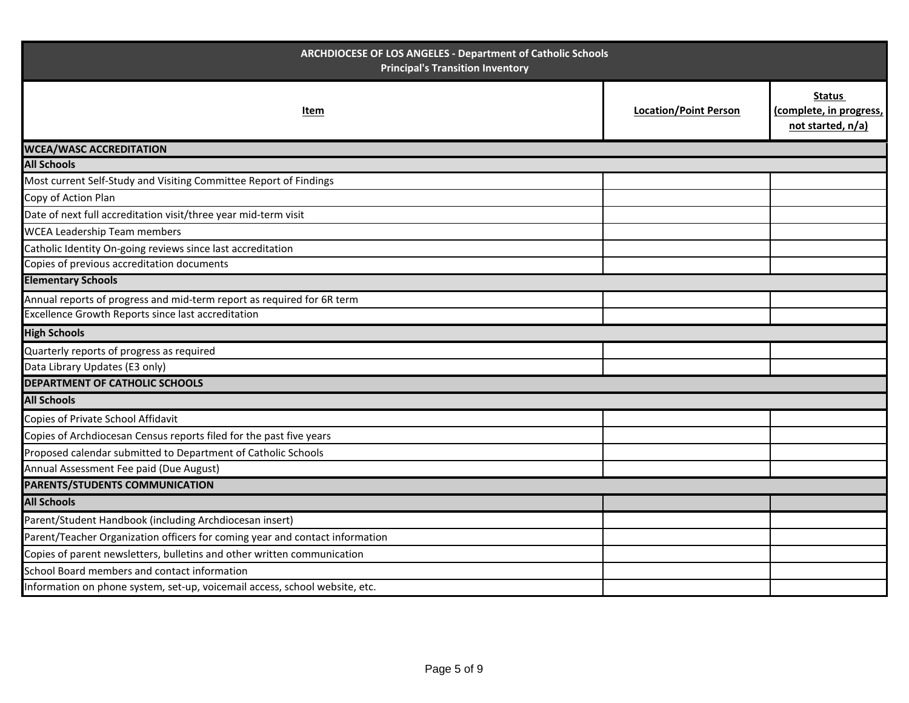| ARCHDIOCESE OF LOS ANGELES - Department of Catholic Schools<br><b>Principal's Transition Inventory</b> |                              |                                                               |  |  |
|--------------------------------------------------------------------------------------------------------|------------------------------|---------------------------------------------------------------|--|--|
| Item                                                                                                   | <b>Location/Point Person</b> | <b>Status</b><br>(complete, in progress,<br>not started, n/a) |  |  |
| <b>WCEA/WASC ACCREDITATION</b>                                                                         |                              |                                                               |  |  |
| <b>All Schools</b>                                                                                     |                              |                                                               |  |  |
| Most current Self-Study and Visiting Committee Report of Findings                                      |                              |                                                               |  |  |
| Copy of Action Plan                                                                                    |                              |                                                               |  |  |
| Date of next full accreditation visit/three year mid-term visit                                        |                              |                                                               |  |  |
| <b>WCEA Leadership Team members</b>                                                                    |                              |                                                               |  |  |
| Catholic Identity On-going reviews since last accreditation                                            |                              |                                                               |  |  |
| Copies of previous accreditation documents                                                             |                              |                                                               |  |  |
| <b>Elementary Schools</b>                                                                              |                              |                                                               |  |  |
| Annual reports of progress and mid-term report as required for 6R term                                 |                              |                                                               |  |  |
| <b>Excellence Growth Reports since last accreditation</b>                                              |                              |                                                               |  |  |
| <b>High Schools</b>                                                                                    |                              |                                                               |  |  |
| Quarterly reports of progress as required                                                              |                              |                                                               |  |  |
| Data Library Updates (E3 only)                                                                         |                              |                                                               |  |  |
| <b>DEPARTMENT OF CATHOLIC SCHOOLS</b>                                                                  |                              |                                                               |  |  |
| <b>All Schools</b>                                                                                     |                              |                                                               |  |  |
| Copies of Private School Affidavit                                                                     |                              |                                                               |  |  |
| Copies of Archdiocesan Census reports filed for the past five years                                    |                              |                                                               |  |  |
| Proposed calendar submitted to Department of Catholic Schools                                          |                              |                                                               |  |  |
| Annual Assessment Fee paid (Due August)                                                                |                              |                                                               |  |  |
| PARENTS/STUDENTS COMMUNICATION                                                                         |                              |                                                               |  |  |
| <b>All Schools</b>                                                                                     |                              |                                                               |  |  |
| Parent/Student Handbook (including Archdiocesan insert)                                                |                              |                                                               |  |  |
| Parent/Teacher Organization officers for coming year and contact information                           |                              |                                                               |  |  |
| Copies of parent newsletters, bulletins and other written communication                                |                              |                                                               |  |  |
| School Board members and contact information                                                           |                              |                                                               |  |  |
| Information on phone system, set-up, voicemail access, school website, etc.                            |                              |                                                               |  |  |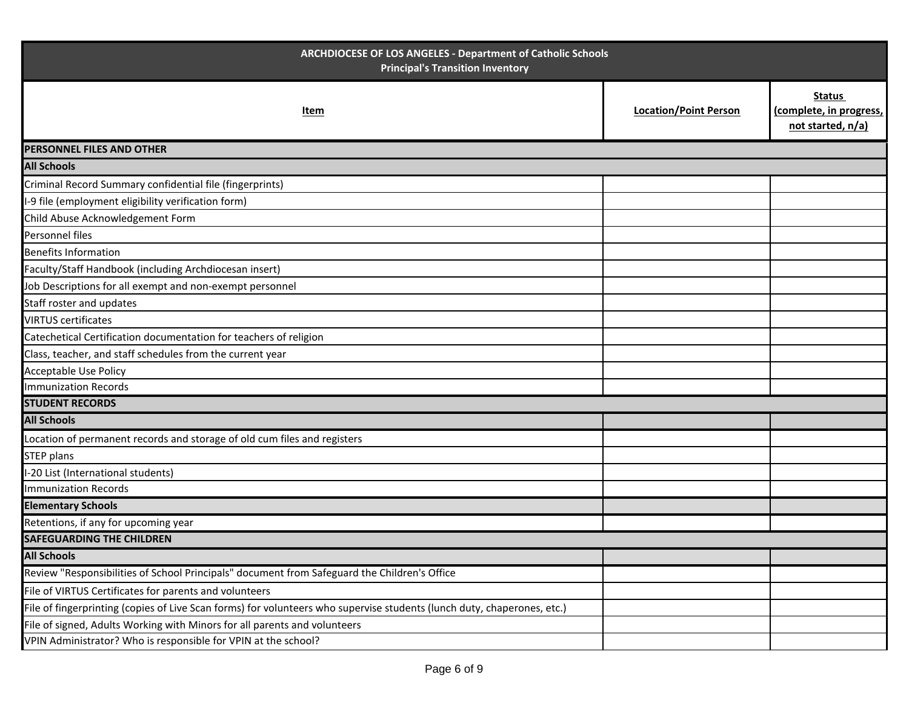| ARCHDIOCESE OF LOS ANGELES - Department of Catholic Schools<br><b>Principal's Transition Inventory</b>                  |                              |                                                               |  |
|-------------------------------------------------------------------------------------------------------------------------|------------------------------|---------------------------------------------------------------|--|
| Item                                                                                                                    | <b>Location/Point Person</b> | <b>Status</b><br>(complete, in progress,<br>not started, n/a) |  |
| PERSONNEL FILES AND OTHER                                                                                               |                              |                                                               |  |
| <b>All Schools</b>                                                                                                      |                              |                                                               |  |
| Criminal Record Summary confidential file (fingerprints)                                                                |                              |                                                               |  |
| -9 file (employment eligibility verification form)                                                                      |                              |                                                               |  |
| Child Abuse Acknowledgement Form                                                                                        |                              |                                                               |  |
| Personnel files                                                                                                         |                              |                                                               |  |
| <b>Benefits Information</b>                                                                                             |                              |                                                               |  |
| Faculty/Staff Handbook (including Archdiocesan insert)                                                                  |                              |                                                               |  |
| Job Descriptions for all exempt and non-exempt personnel                                                                |                              |                                                               |  |
| Staff roster and updates                                                                                                |                              |                                                               |  |
| <b>VIRTUS certificates</b>                                                                                              |                              |                                                               |  |
| Catechetical Certification documentation for teachers of religion                                                       |                              |                                                               |  |
| Class, teacher, and staff schedules from the current year                                                               |                              |                                                               |  |
| Acceptable Use Policy                                                                                                   |                              |                                                               |  |
| <b>Immunization Records</b>                                                                                             |                              |                                                               |  |
| <b>STUDENT RECORDS</b>                                                                                                  |                              |                                                               |  |
| <b>All Schools</b>                                                                                                      |                              |                                                               |  |
| Location of permanent records and storage of old cum files and registers                                                |                              |                                                               |  |
| <b>STEP plans</b>                                                                                                       |                              |                                                               |  |
| -20 List (International students)                                                                                       |                              |                                                               |  |
| <b>Immunization Records</b>                                                                                             |                              |                                                               |  |
| <b>Elementary Schools</b>                                                                                               |                              |                                                               |  |
| Retentions, if any for upcoming year                                                                                    |                              |                                                               |  |
| <b>SAFEGUARDING THE CHILDREN</b>                                                                                        |                              |                                                               |  |
| <b>All Schools</b>                                                                                                      |                              |                                                               |  |
| Review "Responsibilities of School Principals" document from Safeguard the Children's Office                            |                              |                                                               |  |
| File of VIRTUS Certificates for parents and volunteers                                                                  |                              |                                                               |  |
| File of fingerprinting (copies of Live Scan forms) for volunteers who supervise students (lunch duty, chaperones, etc.) |                              |                                                               |  |
| File of signed, Adults Working with Minors for all parents and volunteers                                               |                              |                                                               |  |
| VPIN Administrator? Who is responsible for VPIN at the school?                                                          |                              |                                                               |  |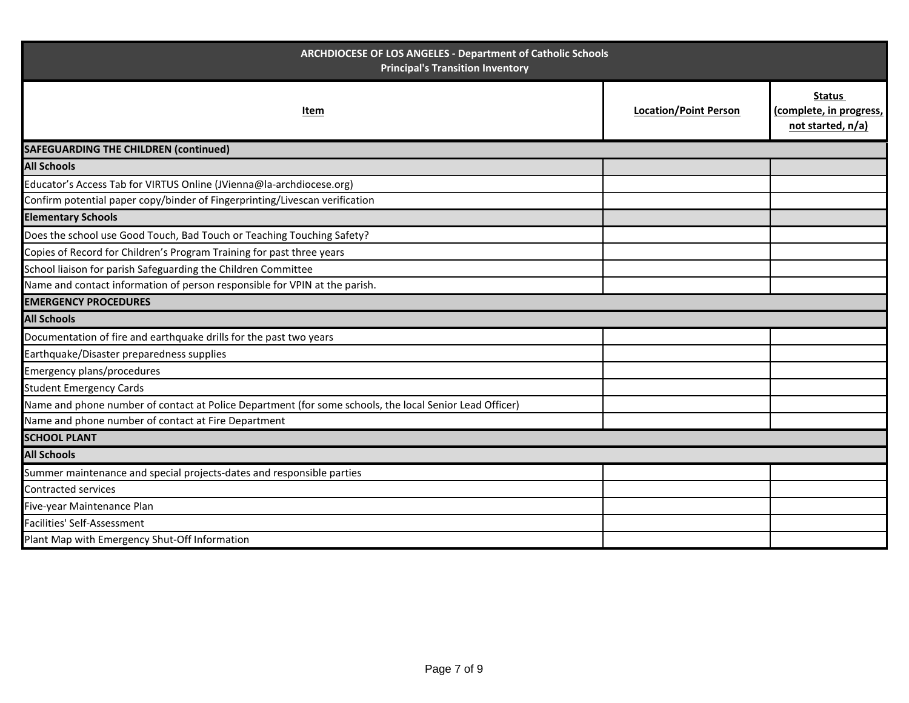| ARCHDIOCESE OF LOS ANGELES - Department of Catholic Schools<br><b>Principal's Transition Inventory</b>  |                              |                                                               |  |  |
|---------------------------------------------------------------------------------------------------------|------------------------------|---------------------------------------------------------------|--|--|
| Item                                                                                                    | <b>Location/Point Person</b> | <b>Status</b><br>(complete, in progress,<br>not started, n/a) |  |  |
| <b>SAFEGUARDING THE CHILDREN (continued)</b>                                                            |                              |                                                               |  |  |
| <b>All Schools</b>                                                                                      |                              |                                                               |  |  |
| Educator's Access Tab for VIRTUS Online (JVienna@la-archdiocese.org)                                    |                              |                                                               |  |  |
| Confirm potential paper copy/binder of Fingerprinting/Livescan verification                             |                              |                                                               |  |  |
| <b>Elementary Schools</b>                                                                               |                              |                                                               |  |  |
| Does the school use Good Touch, Bad Touch or Teaching Touching Safety?                                  |                              |                                                               |  |  |
| Copies of Record for Children's Program Training for past three years                                   |                              |                                                               |  |  |
| School liaison for parish Safeguarding the Children Committee                                           |                              |                                                               |  |  |
| Name and contact information of person responsible for VPIN at the parish.                              |                              |                                                               |  |  |
| <b>EMERGENCY PROCEDURES</b>                                                                             |                              |                                                               |  |  |
| <b>All Schools</b>                                                                                      |                              |                                                               |  |  |
| Documentation of fire and earthquake drills for the past two years                                      |                              |                                                               |  |  |
| Earthquake/Disaster preparedness supplies                                                               |                              |                                                               |  |  |
| <b>Emergency plans/procedures</b>                                                                       |                              |                                                               |  |  |
| <b>Student Emergency Cards</b>                                                                          |                              |                                                               |  |  |
| Name and phone number of contact at Police Department (for some schools, the local Senior Lead Officer) |                              |                                                               |  |  |
| Name and phone number of contact at Fire Department                                                     |                              |                                                               |  |  |
| <b>SCHOOL PLANT</b>                                                                                     |                              |                                                               |  |  |
| <b>All Schools</b>                                                                                      |                              |                                                               |  |  |
| Summer maintenance and special projects-dates and responsible parties                                   |                              |                                                               |  |  |
| <b>Contracted services</b>                                                                              |                              |                                                               |  |  |
| Five-year Maintenance Plan                                                                              |                              |                                                               |  |  |
| Facilities' Self-Assessment                                                                             |                              |                                                               |  |  |
| Plant Map with Emergency Shut-Off Information                                                           |                              |                                                               |  |  |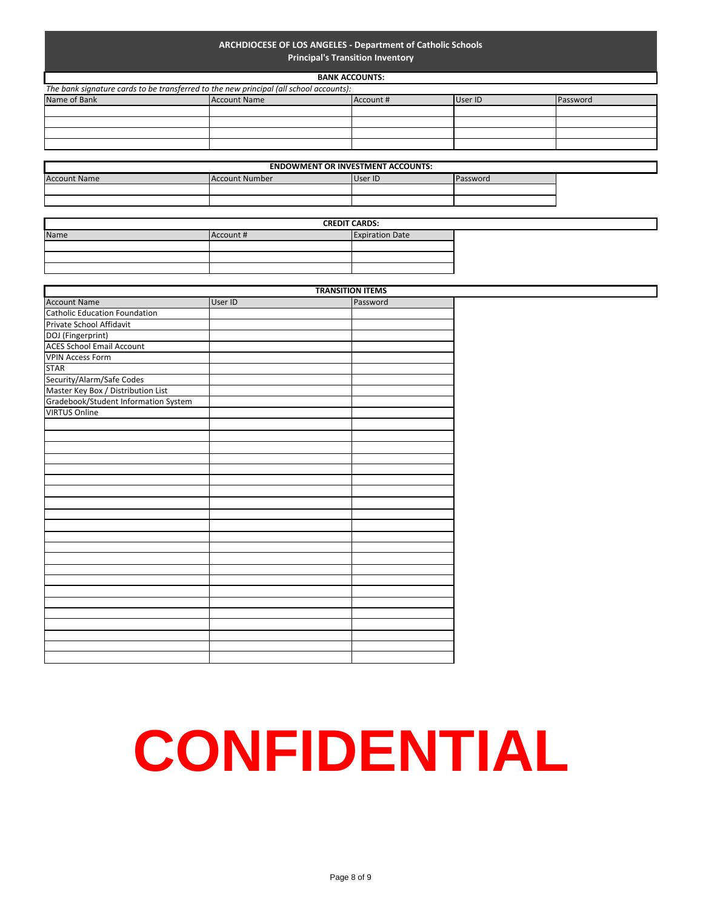#### **ARCHDIOCESE OF LOS ANGELES - Department of Catholic Schools Principal's Transition Inventory**

#### **BANK ACCOUNTS:**

| The bank signature cards to be transferred to the new principal (all school accounts): |                     |           |         |                 |  |
|----------------------------------------------------------------------------------------|---------------------|-----------|---------|-----------------|--|
| Name of Bank                                                                           | <b>Account Name</b> | Account # | User ID | <b>Password</b> |  |
|                                                                                        |                     |           |         |                 |  |
|                                                                                        |                     |           |         |                 |  |
|                                                                                        |                     |           |         |                 |  |
|                                                                                        |                     |           |         |                 |  |
|                                                                                        |                     |           |         |                 |  |

| <b>ENDOWMENT OR INVESTMENT ACCOUNTS:</b> |                |         |          |  |
|------------------------------------------|----------------|---------|----------|--|
| <b>Account Name</b>                      | Account Number | User ID | Password |  |
|                                          |                |         |          |  |
|                                          |                |         |          |  |

|      | <b>CREDIT CARDS:</b> |                        |  |
|------|----------------------|------------------------|--|
| Name | Account #            | <b>Expiration Date</b> |  |
|      |                      |                        |  |
|      |                      |                        |  |
|      |                      |                        |  |

|                                      | <b>TRANSITION ITEMS</b> |          |
|--------------------------------------|-------------------------|----------|
| <b>Account Name</b>                  | User ID                 | Password |
| <b>Catholic Education Foundation</b> |                         |          |
| Private School Affidavit             |                         |          |
| DOJ (Fingerprint)                    |                         |          |
| <b>ACES School Email Account</b>     |                         |          |
| <b>VPIN Access Form</b>              |                         |          |
| <b>STAR</b>                          |                         |          |
| Security/Alarm/Safe Codes            |                         |          |
| Master Key Box / Distribution List   |                         |          |
| Gradebook/Student Information System |                         |          |
| <b>VIRTUS Online</b>                 |                         |          |
|                                      |                         |          |
|                                      |                         |          |
|                                      |                         |          |
|                                      |                         |          |
|                                      |                         |          |
|                                      |                         |          |
|                                      |                         |          |
|                                      |                         |          |
|                                      |                         |          |
|                                      |                         |          |
|                                      |                         |          |
|                                      |                         |          |
|                                      |                         |          |
|                                      |                         |          |
|                                      |                         |          |
|                                      |                         |          |
|                                      |                         |          |
|                                      |                         |          |
|                                      |                         |          |
|                                      |                         |          |
|                                      |                         |          |
|                                      |                         |          |

# **CONFIDENTIAL**